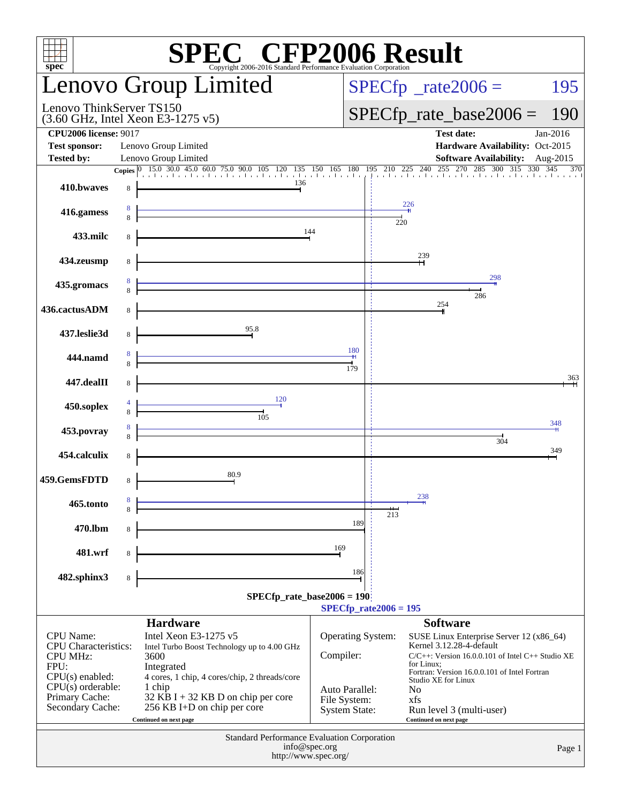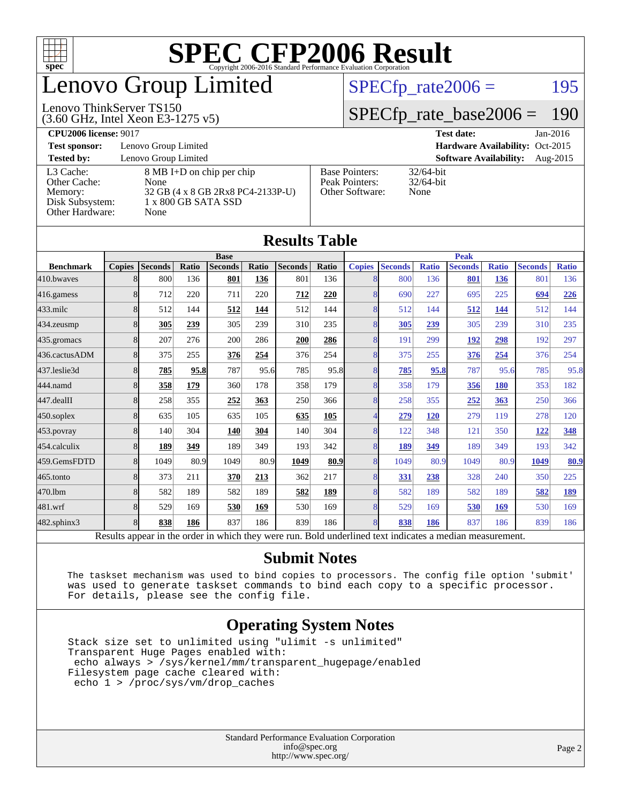

## enovo Group Limited

#### Lenovo ThinkServer TS150

[Other Hardware:](http://www.spec.org/auto/cpu2006/Docs/result-fields.html#OtherHardware) None

(3.60 GHz, Intel Xeon E3-1275 v5)

 $SPECTp_rate2006 = 195$ 

#### [SPECfp\\_rate\\_base2006 =](http://www.spec.org/auto/cpu2006/Docs/result-fields.html#SPECfpratebase2006) 190

| <b>CPU2006 license: 9017</b> | <b>Test date:</b> | $Jan-2016$ |
|------------------------------|-------------------|------------|
|------------------------------|-------------------|------------|

**[Test sponsor:](http://www.spec.org/auto/cpu2006/Docs/result-fields.html#Testsponsor)** Lenovo Group Limited **[Hardware Availability:](http://www.spec.org/auto/cpu2006/Docs/result-fields.html#HardwareAvailability)** Oct-2015 **[Tested by:](http://www.spec.org/auto/cpu2006/Docs/result-fields.html#Testedby)** Lenovo Group Limited **[Software Availability:](http://www.spec.org/auto/cpu2006/Docs/result-fields.html#SoftwareAvailability)** Aug-2015 [L3 Cache:](http://www.spec.org/auto/cpu2006/Docs/result-fields.html#L3Cache) 8 MB I+D on chip per chip<br>Other Cache: None [Other Cache:](http://www.spec.org/auto/cpu2006/Docs/result-fields.html#OtherCache) [Memory:](http://www.spec.org/auto/cpu2006/Docs/result-fields.html#Memory) 32 GB (4 x 8 GB 2Rx8 PC4-2133P-U) [Disk Subsystem:](http://www.spec.org/auto/cpu2006/Docs/result-fields.html#DiskSubsystem) 1 x 800 GB SATA SSD [Base Pointers:](http://www.spec.org/auto/cpu2006/Docs/result-fields.html#BasePointers) 32/64-bit<br>Peak Pointers: 32/64-bit [Peak Pointers:](http://www.spec.org/auto/cpu2006/Docs/result-fields.html#PeakPointers) [Other Software:](http://www.spec.org/auto/cpu2006/Docs/result-fields.html#OtherSoftware) None

**[Results Table](http://www.spec.org/auto/cpu2006/Docs/result-fields.html#ResultsTable)**

|                                                                                                          | <b>Base</b>   |                |       |                |       |                | <b>Peak</b> |                |                |              |                |              |                |              |
|----------------------------------------------------------------------------------------------------------|---------------|----------------|-------|----------------|-------|----------------|-------------|----------------|----------------|--------------|----------------|--------------|----------------|--------------|
| <b>Benchmark</b>                                                                                         | <b>Copies</b> | <b>Seconds</b> | Ratio | <b>Seconds</b> | Ratio | <b>Seconds</b> | Ratio       | <b>Copies</b>  | <b>Seconds</b> | <b>Ratio</b> | <b>Seconds</b> | <b>Ratio</b> | <b>Seconds</b> | <b>Ratio</b> |
| 410.bwayes                                                                                               | 8             | 800            | 136   | 801            | 136   | 801            | 136         | 8              | 800            | 136          | 801            | 136          | 801            | 136          |
| 416.gamess                                                                                               | 8             | 712            | 220   | 711            | 220   | 712            | 220         | 8              | 690            | 227          | 695            | 225          | 694            | 226          |
| $433$ .milc                                                                                              | 8             | 512            | 144   | 512            | 144   | 512            | 144         | 8              | 512            | 144          | 512            | 144          | 512            | 144          |
| 434.zeusmp                                                                                               | 8             | 305            | 239   | 305            | 239   | 310            | 235         | 8              | 305            | 239          | 305            | 239          | 310            | 235          |
| 435.gromacs                                                                                              | 8             | 207            | 276   | 200            | 286   | 200            | 286         | 8              | 191            | 299          | 192            | 298          | 192            | 297          |
| 436.cactusADM                                                                                            | 8             | 375            | 255   | 376            | 254   | 376            | 254         | 8              | 375            | 255          | 376            | 254          | 376            | 254          |
| 437.leslie3d                                                                                             | 8             | 785            | 95.8  | 787            | 95.6  | 785            | 95.8        | 8              | 785            | 95.8         | 787            | 95.6         | 785            | 95.8         |
| 444.namd                                                                                                 | 8             | 358            | 179   | 360            | 178   | 358            | 179         | $\overline{8}$ | 358            | 179          | 356            | 180          | 353            | 182          |
| 447.dealII                                                                                               | 8             | 258            | 355   | 252            | 363   | 250            | 366         | 8              | 258            | 355          | 252            | 363          | 250            | 366          |
| $450$ .soplex                                                                                            | 8             | 635            | 105   | 635            | 105   | 635            | 105         |                | 279            | <b>120</b>   | 279            | 119          | 278            | 120          |
| 453.povray                                                                                               | 8             | 140            | 304   | <b>140</b>     | 304   | 140            | 304         | 8              | 122            | 348          | 121            | 350          | 122            | 348          |
| 454.calculix                                                                                             | 8             | 189            | 349   | 189            | 349   | 193            | 342         | 8              | 189            | 349          | 189            | 349          | 193            | 342          |
| 459.GemsFDTD                                                                                             | 8             | 1049           | 80.9  | 1049           | 80.9  | 1049           | 80.9        | 8              | 1049           | 80.9         | 1049           | 80.9         | 1049           | 80.9         |
| 465.tonto                                                                                                | 8             | 373            | 211   | 370            | 213   | 362            | 217         | 8              | <u>331</u>     | 238          | 328            | 240          | 350            | 225          |
| 470.1bm                                                                                                  | 8             | 582            | 189   | 582            | 189   | 582            | 189         | 8              | 582            | 189          | 582            | 189          | 582            | 189          |
| 481.wrf                                                                                                  | 8             | 529            | 169   | 530            | 169   | 530            | 169         | 8              | 529            | 169          | 530            | 169          | 530            | 169          |
| 482.sphinx3                                                                                              | 8             | 838            | 186   | 837            | 186   | 839            | 186         | 8              | 838            | 186          | 837            | 186          | 839            | 186          |
| Results appear in the order in which they were run. Bold underlined text indicates a median measurement. |               |                |       |                |       |                |             |                |                |              |                |              |                |              |

#### **[Submit Notes](http://www.spec.org/auto/cpu2006/Docs/result-fields.html#SubmitNotes)**

 The taskset mechanism was used to bind copies to processors. The config file option 'submit' was used to generate taskset commands to bind each copy to a specific processor. For details, please see the config file.

#### **[Operating System Notes](http://www.spec.org/auto/cpu2006/Docs/result-fields.html#OperatingSystemNotes)**

 Stack size set to unlimited using "ulimit -s unlimited" Transparent Huge Pages enabled with: echo always > /sys/kernel/mm/transparent\_hugepage/enabled Filesystem page cache cleared with: echo 1 > /proc/sys/vm/drop\_caches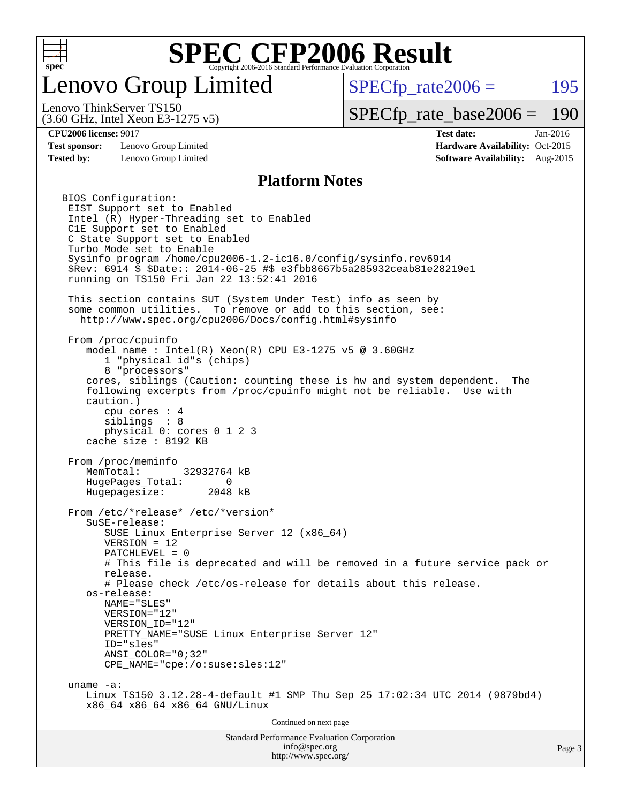

### enovo Group Limited

 $SPECfp_rate2006 = 195$  $SPECfp_rate2006 = 195$ 

(3.60 GHz, Intel Xeon E3-1275 v5) Lenovo ThinkServer TS150

[SPECfp\\_rate\\_base2006 =](http://www.spec.org/auto/cpu2006/Docs/result-fields.html#SPECfpratebase2006) 190

**[Test sponsor:](http://www.spec.org/auto/cpu2006/Docs/result-fields.html#Testsponsor)** Lenovo Group Limited **[Hardware Availability:](http://www.spec.org/auto/cpu2006/Docs/result-fields.html#HardwareAvailability)** Oct-2015

**[CPU2006 license:](http://www.spec.org/auto/cpu2006/Docs/result-fields.html#CPU2006license)** 9017 **[Test date:](http://www.spec.org/auto/cpu2006/Docs/result-fields.html#Testdate)** Jan-2016 **[Tested by:](http://www.spec.org/auto/cpu2006/Docs/result-fields.html#Testedby)** Lenovo Group Limited **[Software Availability:](http://www.spec.org/auto/cpu2006/Docs/result-fields.html#SoftwareAvailability)** Aug-2015

#### **[Platform Notes](http://www.spec.org/auto/cpu2006/Docs/result-fields.html#PlatformNotes)**

Standard Performance Evaluation Corporation [info@spec.org](mailto:info@spec.org) Page 3 BIOS Configuration: EIST Support set to Enabled Intel (R) Hyper-Threading set to Enabled C1E Support set to Enabled C State Support set to Enabled Turbo Mode set to Enable Sysinfo program /home/cpu2006-1.2-ic16.0/config/sysinfo.rev6914 \$Rev: 6914 \$ \$Date:: 2014-06-25 #\$ e3fbb8667b5a285932ceab81e28219e1 running on TS150 Fri Jan 22 13:52:41 2016 This section contains SUT (System Under Test) info as seen by some common utilities. To remove or add to this section, see: <http://www.spec.org/cpu2006/Docs/config.html#sysinfo> From /proc/cpuinfo model name:  $Intel(R)$  Xeon $(R)$  CPU E3-1275 v5 @ 3.60GHz 1 "physical id"s (chips) 8 "processors" cores, siblings (Caution: counting these is hw and system dependent. The following excerpts from /proc/cpuinfo might not be reliable. Use with caution.) cpu cores : 4 siblings : 8 physical 0: cores 0 1 2 3 cache size : 8192 KB From /proc/meminfo MemTotal: 32932764 kB HugePages\_Total: 0 Hugepagesize: 2048 kB From /etc/\*release\* /etc/\*version\* SuSE-release: SUSE Linux Enterprise Server 12 (x86\_64) VERSION = 12 PATCHLEVEL = 0 # This file is deprecated and will be removed in a future service pack or release. # Please check /etc/os-release for details about this release. os-release: NAME="SLES" VERSION="12" VERSION\_ID="12" PRETTY\_NAME="SUSE\_Linux Enterprise Server 12" ID="sles" ANSI\_COLOR="0;32" CPE\_NAME="cpe:/o:suse:sles:12" uname -a: Linux TS150 3.12.28-4-default #1 SMP Thu Sep 25 17:02:34 UTC 2014 (9879bd4) x86\_64 x86\_64 x86\_64 GNU/Linux Continued on next page

<http://www.spec.org/>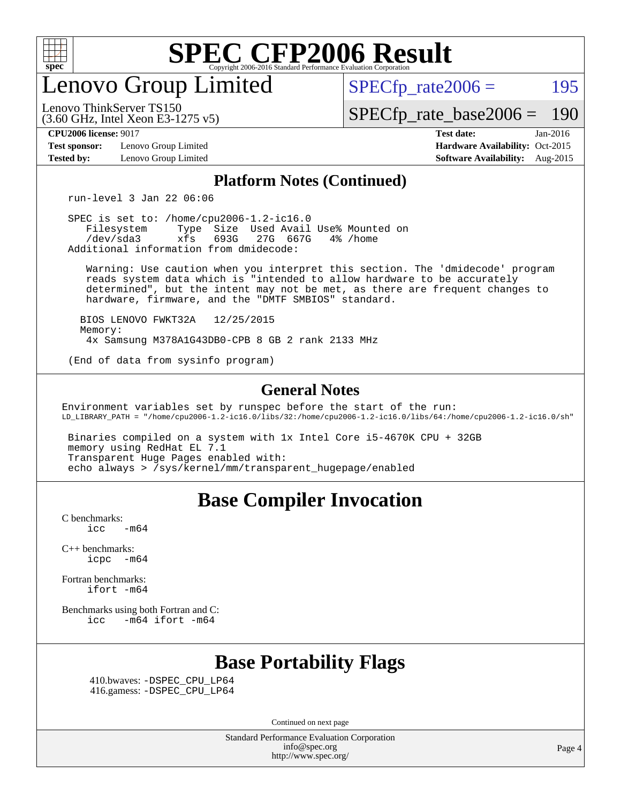

enovo Group Limited

 $SPECTp\_rate2006 = 195$ 

(3.60 GHz, Intel Xeon E3-1275 v5) Lenovo ThinkServer TS150

[SPECfp\\_rate\\_base2006 =](http://www.spec.org/auto/cpu2006/Docs/result-fields.html#SPECfpratebase2006) 190

**[Test sponsor:](http://www.spec.org/auto/cpu2006/Docs/result-fields.html#Testsponsor)** Lenovo Group Limited **[Hardware Availability:](http://www.spec.org/auto/cpu2006/Docs/result-fields.html#HardwareAvailability)** Oct-2015

**[CPU2006 license:](http://www.spec.org/auto/cpu2006/Docs/result-fields.html#CPU2006license)** 9017 **[Test date:](http://www.spec.org/auto/cpu2006/Docs/result-fields.html#Testdate)** Jan-2016 **[Tested by:](http://www.spec.org/auto/cpu2006/Docs/result-fields.html#Testedby)** Lenovo Group Limited **[Software Availability:](http://www.spec.org/auto/cpu2006/Docs/result-fields.html#SoftwareAvailability)** Aug-2015

#### **[Platform Notes \(Continued\)](http://www.spec.org/auto/cpu2006/Docs/result-fields.html#PlatformNotes)**

run-level 3 Jan 22 06:06

 SPEC is set to: /home/cpu2006-1.2-ic16.0 Filesystem Type Size Used Avail Use% Mounted on<br>
/dev/sda3 xfs 693G 27G 667G 4% /home 27G 667G Additional information from dmidecode:

 Warning: Use caution when you interpret this section. The 'dmidecode' program reads system data which is "intended to allow hardware to be accurately determined", but the intent may not be met, as there are frequent changes to hardware, firmware, and the "DMTF SMBIOS" standard.

 BIOS LENOVO FWKT32A 12/25/2015 Memory: 4x Samsung M378A1G43DB0-CPB 8 GB 2 rank 2133 MHz

(End of data from sysinfo program)

#### **[General Notes](http://www.spec.org/auto/cpu2006/Docs/result-fields.html#GeneralNotes)**

Environment variables set by runspec before the start of the run: LD\_LIBRARY\_PATH = "/home/cpu2006-1.2-ic16.0/libs/32:/home/cpu2006-1.2-ic16.0/libs/64:/home/cpu2006-1.2-ic16.0/sh"

 Binaries compiled on a system with 1x Intel Core i5-4670K CPU + 32GB memory using RedHat EL 7.1 Transparent Huge Pages enabled with: echo always > /sys/kernel/mm/transparent\_hugepage/enabled

#### **[Base Compiler Invocation](http://www.spec.org/auto/cpu2006/Docs/result-fields.html#BaseCompilerInvocation)**

[C benchmarks](http://www.spec.org/auto/cpu2006/Docs/result-fields.html#Cbenchmarks):  $\text{icc}$  -m64

[C++ benchmarks:](http://www.spec.org/auto/cpu2006/Docs/result-fields.html#CXXbenchmarks) [icpc -m64](http://www.spec.org/cpu2006/results/res2016q1/cpu2006-20160125-38867.flags.html#user_CXXbase_intel_icpc_64bit_bedb90c1146cab66620883ef4f41a67e)

[Fortran benchmarks](http://www.spec.org/auto/cpu2006/Docs/result-fields.html#Fortranbenchmarks): [ifort -m64](http://www.spec.org/cpu2006/results/res2016q1/cpu2006-20160125-38867.flags.html#user_FCbase_intel_ifort_64bit_ee9d0fb25645d0210d97eb0527dcc06e)

[Benchmarks using both Fortran and C](http://www.spec.org/auto/cpu2006/Docs/result-fields.html#BenchmarksusingbothFortranandC): [icc -m64](http://www.spec.org/cpu2006/results/res2016q1/cpu2006-20160125-38867.flags.html#user_CC_FCbase_intel_icc_64bit_0b7121f5ab7cfabee23d88897260401c) [ifort -m64](http://www.spec.org/cpu2006/results/res2016q1/cpu2006-20160125-38867.flags.html#user_CC_FCbase_intel_ifort_64bit_ee9d0fb25645d0210d97eb0527dcc06e)

### **[Base Portability Flags](http://www.spec.org/auto/cpu2006/Docs/result-fields.html#BasePortabilityFlags)**

 410.bwaves: [-DSPEC\\_CPU\\_LP64](http://www.spec.org/cpu2006/results/res2016q1/cpu2006-20160125-38867.flags.html#suite_basePORTABILITY410_bwaves_DSPEC_CPU_LP64) 416.gamess: [-DSPEC\\_CPU\\_LP64](http://www.spec.org/cpu2006/results/res2016q1/cpu2006-20160125-38867.flags.html#suite_basePORTABILITY416_gamess_DSPEC_CPU_LP64)

Continued on next page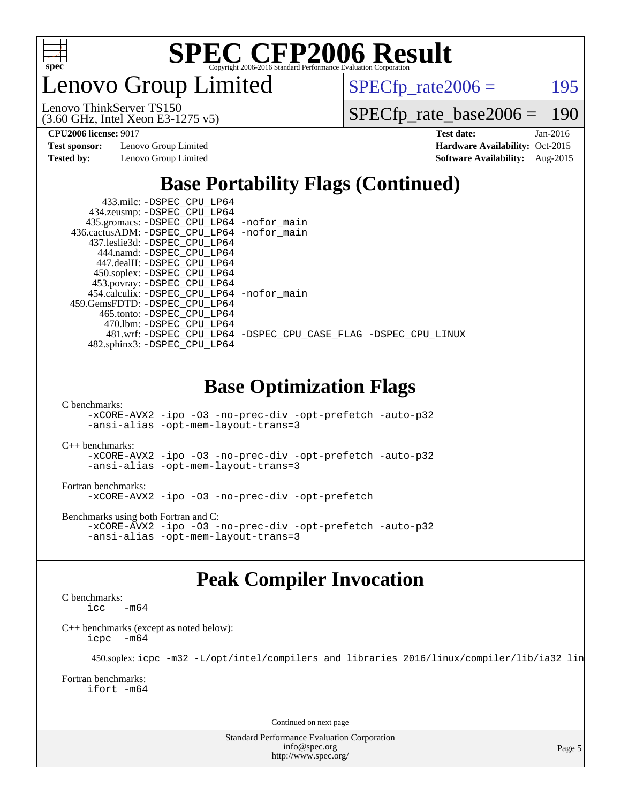

enovo Group Limited

 $SPECTp_rate2006 = 195$ 

[SPECfp\\_rate\\_base2006 =](http://www.spec.org/auto/cpu2006/Docs/result-fields.html#SPECfpratebase2006) 190

(3.60 GHz, Intel Xeon E3-1275 v5) Lenovo ThinkServer TS150

**[CPU2006 license:](http://www.spec.org/auto/cpu2006/Docs/result-fields.html#CPU2006license)** 9017 **[Test date:](http://www.spec.org/auto/cpu2006/Docs/result-fields.html#Testdate)** Jan-2016 **[Test sponsor:](http://www.spec.org/auto/cpu2006/Docs/result-fields.html#Testsponsor)** Lenovo Group Limited **[Hardware Availability:](http://www.spec.org/auto/cpu2006/Docs/result-fields.html#HardwareAvailability)** Oct-2015 **[Tested by:](http://www.spec.org/auto/cpu2006/Docs/result-fields.html#Testedby)** Lenovo Group Limited **[Software Availability:](http://www.spec.org/auto/cpu2006/Docs/result-fields.html#SoftwareAvailability)** Aug-2015

### **[Base Portability Flags \(Continued\)](http://www.spec.org/auto/cpu2006/Docs/result-fields.html#BasePortabilityFlags)**

| 433.milc: -DSPEC CPU LP64<br>434.zeusmp: - DSPEC_CPU_LP64                   |                                                                |
|-----------------------------------------------------------------------------|----------------------------------------------------------------|
| 435.gromacs: -DSPEC_CPU_LP64 -nofor_main                                    |                                                                |
| 436.cactusADM: -DSPEC CPU LP64 -nofor main<br>437.leslie3d: -DSPEC CPU LP64 |                                                                |
| 444.namd: -DSPEC CPU LP64                                                   |                                                                |
| 447.dealII: -DSPEC CPU LP64                                                 |                                                                |
| 450.soplex: -DSPEC_CPU_LP64<br>453.povray: -DSPEC_CPU_LP64                  |                                                                |
| 454.calculix: - DSPEC CPU LP64 - nofor main                                 |                                                                |
| 459. GemsFDTD: - DSPEC CPU LP64                                             |                                                                |
| 465.tonto: - DSPEC_CPU_LP64<br>470.1bm: -DSPEC CPU LP64                     |                                                                |
|                                                                             | 481.wrf: -DSPEC CPU_LP64 -DSPEC_CPU_CASE_FLAG -DSPEC_CPU_LINUX |
| 482.sphinx3: -DSPEC_CPU_LP64                                                |                                                                |
|                                                                             |                                                                |

#### **[Base Optimization Flags](http://www.spec.org/auto/cpu2006/Docs/result-fields.html#BaseOptimizationFlags)**

[C benchmarks](http://www.spec.org/auto/cpu2006/Docs/result-fields.html#Cbenchmarks):

[-xCORE-AVX2](http://www.spec.org/cpu2006/results/res2016q1/cpu2006-20160125-38867.flags.html#user_CCbase_f-xAVX2_5f5fc0cbe2c9f62c816d3e45806c70d7) [-ipo](http://www.spec.org/cpu2006/results/res2016q1/cpu2006-20160125-38867.flags.html#user_CCbase_f-ipo) [-O3](http://www.spec.org/cpu2006/results/res2016q1/cpu2006-20160125-38867.flags.html#user_CCbase_f-O3) [-no-prec-div](http://www.spec.org/cpu2006/results/res2016q1/cpu2006-20160125-38867.flags.html#user_CCbase_f-no-prec-div) [-opt-prefetch](http://www.spec.org/cpu2006/results/res2016q1/cpu2006-20160125-38867.flags.html#user_CCbase_f-opt-prefetch) [-auto-p32](http://www.spec.org/cpu2006/results/res2016q1/cpu2006-20160125-38867.flags.html#user_CCbase_f-auto-p32) [-ansi-alias](http://www.spec.org/cpu2006/results/res2016q1/cpu2006-20160125-38867.flags.html#user_CCbase_f-ansi-alias) [-opt-mem-layout-trans=3](http://www.spec.org/cpu2006/results/res2016q1/cpu2006-20160125-38867.flags.html#user_CCbase_f-opt-mem-layout-trans_a7b82ad4bd7abf52556d4961a2ae94d5)

[C++ benchmarks:](http://www.spec.org/auto/cpu2006/Docs/result-fields.html#CXXbenchmarks)

[-xCORE-AVX2](http://www.spec.org/cpu2006/results/res2016q1/cpu2006-20160125-38867.flags.html#user_CXXbase_f-xAVX2_5f5fc0cbe2c9f62c816d3e45806c70d7) [-ipo](http://www.spec.org/cpu2006/results/res2016q1/cpu2006-20160125-38867.flags.html#user_CXXbase_f-ipo) [-O3](http://www.spec.org/cpu2006/results/res2016q1/cpu2006-20160125-38867.flags.html#user_CXXbase_f-O3) [-no-prec-div](http://www.spec.org/cpu2006/results/res2016q1/cpu2006-20160125-38867.flags.html#user_CXXbase_f-no-prec-div) [-opt-prefetch](http://www.spec.org/cpu2006/results/res2016q1/cpu2006-20160125-38867.flags.html#user_CXXbase_f-opt-prefetch) [-auto-p32](http://www.spec.org/cpu2006/results/res2016q1/cpu2006-20160125-38867.flags.html#user_CXXbase_f-auto-p32) [-ansi-alias](http://www.spec.org/cpu2006/results/res2016q1/cpu2006-20160125-38867.flags.html#user_CXXbase_f-ansi-alias) [-opt-mem-layout-trans=3](http://www.spec.org/cpu2006/results/res2016q1/cpu2006-20160125-38867.flags.html#user_CXXbase_f-opt-mem-layout-trans_a7b82ad4bd7abf52556d4961a2ae94d5)

[Fortran benchmarks](http://www.spec.org/auto/cpu2006/Docs/result-fields.html#Fortranbenchmarks): [-xCORE-AVX2](http://www.spec.org/cpu2006/results/res2016q1/cpu2006-20160125-38867.flags.html#user_FCbase_f-xAVX2_5f5fc0cbe2c9f62c816d3e45806c70d7) [-ipo](http://www.spec.org/cpu2006/results/res2016q1/cpu2006-20160125-38867.flags.html#user_FCbase_f-ipo) [-O3](http://www.spec.org/cpu2006/results/res2016q1/cpu2006-20160125-38867.flags.html#user_FCbase_f-O3) [-no-prec-div](http://www.spec.org/cpu2006/results/res2016q1/cpu2006-20160125-38867.flags.html#user_FCbase_f-no-prec-div) [-opt-prefetch](http://www.spec.org/cpu2006/results/res2016q1/cpu2006-20160125-38867.flags.html#user_FCbase_f-opt-prefetch)

[Benchmarks using both Fortran and C](http://www.spec.org/auto/cpu2006/Docs/result-fields.html#BenchmarksusingbothFortranandC): [-xCORE-AVX2](http://www.spec.org/cpu2006/results/res2016q1/cpu2006-20160125-38867.flags.html#user_CC_FCbase_f-xAVX2_5f5fc0cbe2c9f62c816d3e45806c70d7) [-ipo](http://www.spec.org/cpu2006/results/res2016q1/cpu2006-20160125-38867.flags.html#user_CC_FCbase_f-ipo) [-O3](http://www.spec.org/cpu2006/results/res2016q1/cpu2006-20160125-38867.flags.html#user_CC_FCbase_f-O3) [-no-prec-div](http://www.spec.org/cpu2006/results/res2016q1/cpu2006-20160125-38867.flags.html#user_CC_FCbase_f-no-prec-div) [-opt-prefetch](http://www.spec.org/cpu2006/results/res2016q1/cpu2006-20160125-38867.flags.html#user_CC_FCbase_f-opt-prefetch) [-auto-p32](http://www.spec.org/cpu2006/results/res2016q1/cpu2006-20160125-38867.flags.html#user_CC_FCbase_f-auto-p32) [-ansi-alias](http://www.spec.org/cpu2006/results/res2016q1/cpu2006-20160125-38867.flags.html#user_CC_FCbase_f-ansi-alias) [-opt-mem-layout-trans=3](http://www.spec.org/cpu2006/results/res2016q1/cpu2006-20160125-38867.flags.html#user_CC_FCbase_f-opt-mem-layout-trans_a7b82ad4bd7abf52556d4961a2ae94d5)

### **[Peak Compiler Invocation](http://www.spec.org/auto/cpu2006/Docs/result-fields.html#PeakCompilerInvocation)**

[C benchmarks](http://www.spec.org/auto/cpu2006/Docs/result-fields.html#Cbenchmarks):  $-m64$ 

[C++ benchmarks \(except as noted below\):](http://www.spec.org/auto/cpu2006/Docs/result-fields.html#CXXbenchmarksexceptasnotedbelow) [icpc -m64](http://www.spec.org/cpu2006/results/res2016q1/cpu2006-20160125-38867.flags.html#user_CXXpeak_intel_icpc_64bit_bedb90c1146cab66620883ef4f41a67e)

450.soplex: [icpc -m32 -L/opt/intel/compilers\\_and\\_libraries\\_2016/linux/compiler/lib/ia32\\_lin](http://www.spec.org/cpu2006/results/res2016q1/cpu2006-20160125-38867.flags.html#user_peakCXXLD450_soplex_intel_icpc_b4f50a394bdb4597aa5879c16bc3f5c5)

[Fortran benchmarks](http://www.spec.org/auto/cpu2006/Docs/result-fields.html#Fortranbenchmarks): [ifort -m64](http://www.spec.org/cpu2006/results/res2016q1/cpu2006-20160125-38867.flags.html#user_FCpeak_intel_ifort_64bit_ee9d0fb25645d0210d97eb0527dcc06e)

Continued on next page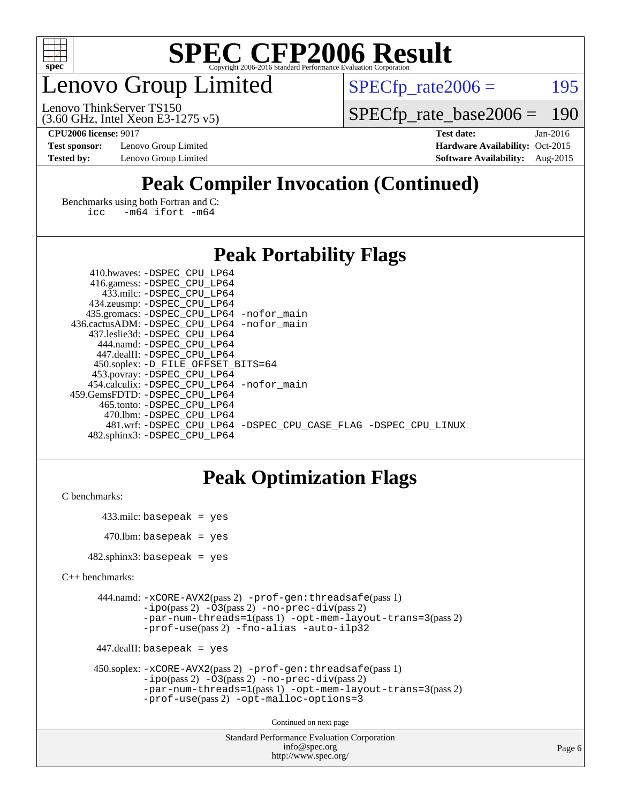

### enovo Group Limited

 $SPECTp_rate2006 = 195$ 

(3.60 GHz, Intel Xeon E3-1275 v5) Lenovo ThinkServer TS150

[SPECfp\\_rate\\_base2006 =](http://www.spec.org/auto/cpu2006/Docs/result-fields.html#SPECfpratebase2006) 190

**[CPU2006 license:](http://www.spec.org/auto/cpu2006/Docs/result-fields.html#CPU2006license)** 9017 **[Test date:](http://www.spec.org/auto/cpu2006/Docs/result-fields.html#Testdate)** Jan-2016 **[Test sponsor:](http://www.spec.org/auto/cpu2006/Docs/result-fields.html#Testsponsor)** Lenovo Group Limited **[Hardware Availability:](http://www.spec.org/auto/cpu2006/Docs/result-fields.html#HardwareAvailability)** Oct-2015 **[Tested by:](http://www.spec.org/auto/cpu2006/Docs/result-fields.html#Testedby)** Lenovo Group Limited **[Software Availability:](http://www.spec.org/auto/cpu2006/Docs/result-fields.html#SoftwareAvailability)** Aug-2015

### **[Peak Compiler Invocation \(Continued\)](http://www.spec.org/auto/cpu2006/Docs/result-fields.html#PeakCompilerInvocation)**

[Benchmarks using both Fortran and C](http://www.spec.org/auto/cpu2006/Docs/result-fields.html#BenchmarksusingbothFortranandC): [icc -m64](http://www.spec.org/cpu2006/results/res2016q1/cpu2006-20160125-38867.flags.html#user_CC_FCpeak_intel_icc_64bit_0b7121f5ab7cfabee23d88897260401c) [ifort -m64](http://www.spec.org/cpu2006/results/res2016q1/cpu2006-20160125-38867.flags.html#user_CC_FCpeak_intel_ifort_64bit_ee9d0fb25645d0210d97eb0527dcc06e)

#### **[Peak Portability Flags](http://www.spec.org/auto/cpu2006/Docs/result-fields.html#PeakPortabilityFlags)**

| 410.bwaves: -DSPEC CPU LP64                 |                                                                |
|---------------------------------------------|----------------------------------------------------------------|
| 416.gamess: -DSPEC_CPU_LP64                 |                                                                |
| 433.milc: -DSPEC CPU LP64                   |                                                                |
| 434.zeusmp: -DSPEC_CPU_LP64                 |                                                                |
| 435.gromacs: -DSPEC_CPU_LP64 -nofor_main    |                                                                |
| 436.cactusADM: -DSPEC CPU LP64 -nofor main  |                                                                |
| 437.leslie3d: -DSPEC CPU LP64               |                                                                |
| 444.namd: - DSPEC_CPU LP64                  |                                                                |
| 447.dealII: -DSPEC CPU LP64                 |                                                                |
| 450.soplex: -D_FILE_OFFSET_BITS=64          |                                                                |
| 453.povray: -DSPEC_CPU_LP64                 |                                                                |
| 454.calculix: - DSPEC CPU LP64 - nofor main |                                                                |
| 459.GemsFDTD: -DSPEC CPU LP64               |                                                                |
| 465.tonto: - DSPEC CPU LP64                 |                                                                |
| 470.1bm: - DSPEC CPU LP64                   |                                                                |
|                                             | 481.wrf: -DSPEC CPU_LP64 -DSPEC_CPU_CASE_FLAG -DSPEC_CPU_LINUX |
| 482.sphinx3: -DSPEC CPU LP64                |                                                                |

### **[Peak Optimization Flags](http://www.spec.org/auto/cpu2006/Docs/result-fields.html#PeakOptimizationFlags)**

```
C benchmarks:
```

```
 433.milc: basepeak = yes
470.lbm: basepeak = yes
```
482.sphinx3: basepeak = yes

```
C++ benchmarks:
```

```
 444.namd: -xCORE-AVX2(pass 2) -prof-gen:threadsafe(pass 1)
         -i\text{po}(pass 2) -\overline{O}3(pass 2)-no-prec-div(pass 2)
         -par-num-threads=1(pass 1) -opt-mem-layout-trans=3(pass 2)
         -prof-use(pass 2) -fno-alias -auto-ilp32
```

```
 447.dealII: basepeak = yes
```

```
 450.soplex: -xCORE-AVX2(pass 2) -prof-gen:threadsafe(pass 1)
         -ipo(pass 2) -O3(pass 2) -no-prec-div(pass 2)
         -par-num-threads=1(pass 1) -opt-mem-layout-trans=3(pass 2)
         -prof-use(pass 2) -opt-malloc-options=3
```
Continued on next page

```
Standard Performance Evaluation Corporation
              info@spec.org
           http://www.spec.org/
```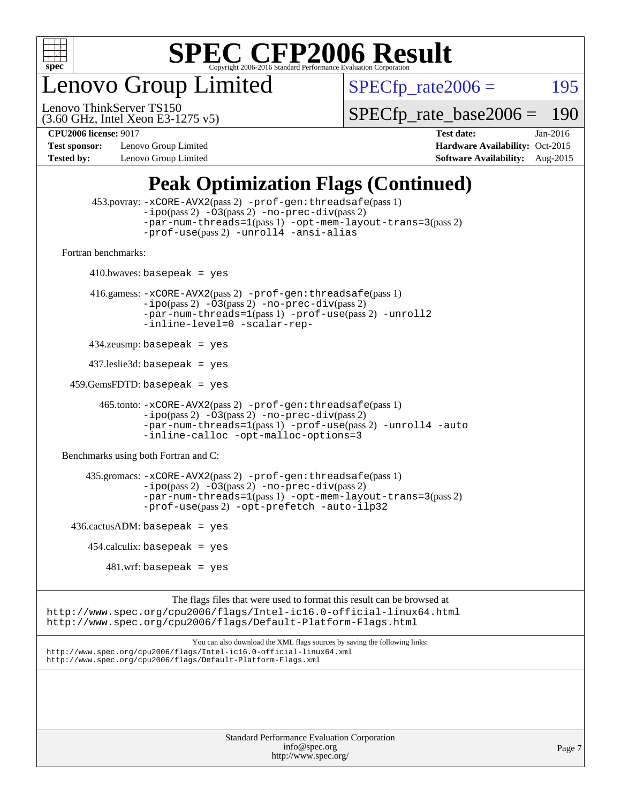

enovo Group Limited

 $SPECTp_rate2006 = 195$ 

(3.60 GHz, Intel Xeon E3-1275 v5) Lenovo ThinkServer TS150

[SPECfp\\_rate\\_base2006 =](http://www.spec.org/auto/cpu2006/Docs/result-fields.html#SPECfpratebase2006) 190

**[Test sponsor:](http://www.spec.org/auto/cpu2006/Docs/result-fields.html#Testsponsor)** Lenovo Group Limited **[Hardware Availability:](http://www.spec.org/auto/cpu2006/Docs/result-fields.html#HardwareAvailability)** Oct-2015

**[CPU2006 license:](http://www.spec.org/auto/cpu2006/Docs/result-fields.html#CPU2006license)** 9017 **[Test date:](http://www.spec.org/auto/cpu2006/Docs/result-fields.html#Testdate)** Jan-2016 **[Tested by:](http://www.spec.org/auto/cpu2006/Docs/result-fields.html#Testedby)** Lenovo Group Limited **[Software Availability:](http://www.spec.org/auto/cpu2006/Docs/result-fields.html#SoftwareAvailability)** Aug-2015

### **[Peak Optimization Flags \(Continued\)](http://www.spec.org/auto/cpu2006/Docs/result-fields.html#PeakOptimizationFlags)**

```
 453.povray: -xCORE-AVX2(pass 2) -prof-gen:threadsafe(pass 1)
                   -i\text{po}(pass 2) -\overset{\sim}{O}3(pass 2)-no-prec-div(pass 2)
                   -par-num-threads=1(pass 1) -opt-mem-layout-trans=3(pass 2)
                   -prof-use(pass 2) -unroll4 -ansi-alias
   Fortran benchmarks: 
        410.bwaves: basepeak = yes 416.gamess: -xCORE-AVX2(pass 2) -prof-gen:threadsafe(pass 1)
                   -ipo(pass 2) -O3(pass 2) -no-prec-div(pass 2)
                   -par-num-threads=1(pass 1) -prof-use(pass 2) -unroll2
                   -inline-level=0 -scalar-rep-
         434.zeusmp: basepeak = yes
         437.leslie3d: basepeak = yes
     459.GemsFDTD: basepeak = yes
           465.tonto: -xCORE-AVX2(pass 2) -prof-gen:threadsafe(pass 1)
                   -i\text{po}(pass 2) -03(pass 2)-no-prec-div(pass 2)
                   -par-num-threads=1(pass 1) -prof-use(pass 2) -unroll4 -auto
                   -inline-calloc -opt-malloc-options=3
   Benchmarks using both Fortran and C: 
         435.gromacs: -xCORE-AVX2(pass 2) -prof-gen:threadsafe(pass 1)
                   -i\text{po}(pass 2) -\tilde{O}3(pass 2)-no-prec-div(pass 2)
                   -par-num-threads=1(pass 1) -opt-mem-layout-trans=3(pass 2)
                   -prof-use(pass 2) -opt-prefetch -auto-ilp32
    436.cactusADM:basepeak = yes454.calculix: basepeak = yes
            481 \text{.m}: basepeak = yes
                         The flags files that were used to format this result can be browsed at
http://www.spec.org/cpu2006/flags/Intel-ic16.0-official-linux64.html
http://www.spec.org/cpu2006/flags/Default-Platform-Flags.html
                             You can also download the XML flags sources by saving the following links:
http://www.spec.org/cpu2006/flags/Intel-ic16.0-official-linux64.xml
```
<http://www.spec.org/cpu2006/flags/Default-Platform-Flags.xml>